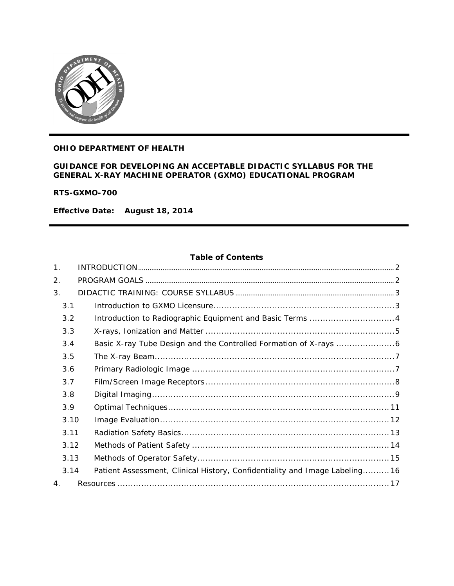

### **OHIO DEPARTMENT OF HEALTH**

#### **GUIDANCE FOR DEVELOPING AN ACCEPTABLE DIDACTIC SYLLABUS FOR THE GENERAL X-RAY MACHINE OPERATOR (GXMO) EDUCATIONAL PROGRAM**

**RTS-GXMO-700** 

**Effective Date: August 18, 2014**

#### **Table of Contents**

| 1 <sub>1</sub> |      |                                                                            |  |
|----------------|------|----------------------------------------------------------------------------|--|
| 2.             |      |                                                                            |  |
| 3.             |      |                                                                            |  |
|                | 3.1  |                                                                            |  |
|                | 3.2  | Introduction to Radiographic Equipment and Basic Terms 4                   |  |
|                | 3.3  |                                                                            |  |
|                | 3.4  |                                                                            |  |
|                | 3.5  |                                                                            |  |
|                | 3.6  |                                                                            |  |
|                | 3.7  |                                                                            |  |
|                | 3.8  |                                                                            |  |
|                | 3.9  |                                                                            |  |
|                | 3.10 |                                                                            |  |
|                | 3.11 |                                                                            |  |
|                | 3.12 |                                                                            |  |
|                | 3.13 |                                                                            |  |
|                | 3.14 | Patient Assessment, Clinical History, Confidentiality and Image Labeling16 |  |
| 4.             |      |                                                                            |  |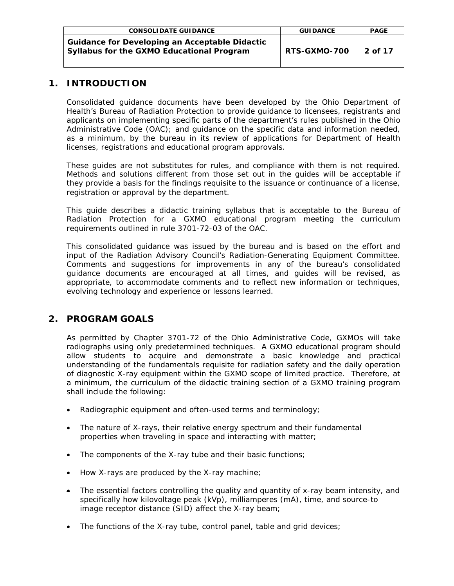| <b>CONSOLIDATE GUIDANCE</b>                                                                        | <b>GUIDANCE</b> | <b>PAGE</b> |
|----------------------------------------------------------------------------------------------------|-----------------|-------------|
| <b>Guidance for Developing an Acceptable Didactic</b><br>Syllabus for the GXMO Educational Program | RTS-GXMO-700    | 2 of 17     |

# <span id="page-1-0"></span>**1. INTRODUCTION**

Consolidated guidance documents have been developed by the Ohio Department of Health's Bureau of Radiation Protection to provide guidance to licensees, registrants and applicants on implementing specific parts of the department's rules published in the Ohio Administrative Code (OAC); and guidance on the specific data and information needed, as a minimum, by the bureau in its review of applications for Department of Health licenses, registrations and educational program approvals.

These guides are not substitutes for rules, and compliance with them is not required. Methods and solutions different from those set out in the guides will be acceptable if they provide a basis for the findings requisite to the issuance or continuance of a license, registration or approval by the department.

This guide describes a didactic training syllabus that is acceptable to the Bureau of Radiation Protection for a GXMO educational program meeting the curriculum requirements outlined in rule 3701-72-03 of the OAC.

This consolidated guidance was issued by the bureau and is based on the effort and input of the Radiation Advisory Council's Radiation-Generating Equipment Committee. Comments and suggestions for improvements in any of the bureau's consolidated guidance documents are encouraged at all times, and guides will be revised, as appropriate, to accommodate comments and to reflect new information or techniques, evolving technology and experience or lessons learned.

# <span id="page-1-1"></span>**2. PROGRAM GOALS**

As permitted by Chapter 3701-72 of the Ohio Administrative Code, GXMOs will take radiographs using only predetermined techniques. A GXMO educational program should allow students to acquire and demonstrate a basic knowledge and practical understanding of the fundamentals requisite for radiation safety and the daily operation of diagnostic X-ray equipment within the GXMO scope of limited practice. Therefore, at a minimum, the curriculum of the didactic training section of a GXMO training program shall include the following:

- Radiographic equipment and often-used terms and terminology;
- The nature of X-rays, their relative energy spectrum and their fundamental properties when traveling in space and interacting with matter;
- The components of the X-ray tube and their basic functions;
- How X-rays are produced by the X-ray machine;
- The essential factors controlling the quality and quantity of x-ray beam intensity, and specifically how kilovoltage peak (kVp), milliamperes (mA), time, and source-to image receptor distance (SID) affect the X-ray beam;
- The functions of the X-ray tube, control panel, table and grid devices;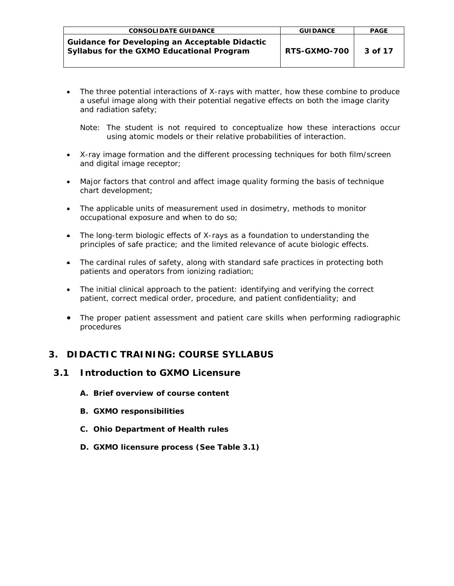| <b>CONSOLIDATE GUIDANCE</b>                                                                        | <b>GUIDANCE</b> | <b>PAGE</b> |
|----------------------------------------------------------------------------------------------------|-----------------|-------------|
| <b>Guidance for Developing an Acceptable Didactic</b><br>Syllabus for the GXMO Educational Program | RTS-GXMO-700    | 3 of 17     |

• The three potential interactions of X-rays with matter, how these combine to produce a useful image along with their potential negative effects on both the image clarity and radiation safety;

Note: *The student is not required to conceptualize how these interactions occur using atomic models or their relative probabilities of interaction.*

- X-ray image formation and the different processing techniques for both film/screen and digital image receptor;
- Major factors that control and affect image quality forming the basis of technique chart development;
- The applicable units of measurement used in dosimetry, methods to monitor occupational exposure and when to do so;
- The long-term biologic effects of X-rays as a foundation to understanding the principles of safe practice; and the limited relevance of acute biologic effects.
- The cardinal rules of safety, along with standard safe practices in protecting both patients and operators from ionizing radiation;
- The initial clinical approach to the patient: identifying and verifying the correct patient, correct medical order, procedure, and patient confidentiality; and
- The proper patient assessment and patient care skills when performing radiographic procedures

# <span id="page-2-0"></span>**3. DIDACTIC TRAINING: COURSE SYLLABUS**

# <span id="page-2-1"></span>**3.1 Introduction to GXMO Licensure**

- **A. Brief overview of course content**
- **B. GXMO responsibilities**
- **C. Ohio Department of Health rules**
- **D. GXMO licensure process (See Table 3.1)**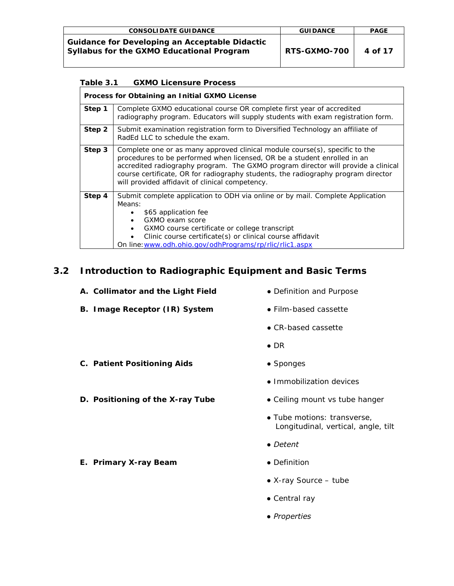| <b>CONSOLIDATE GUIDANCE</b>                                                                        | <b>GUIDANCE</b> | <b>PAGE</b> |
|----------------------------------------------------------------------------------------------------|-----------------|-------------|
| <b>Guidance for Developing an Acceptable Didactic</b><br>Syllabus for the GXMO Educational Program | RTS-GXMO-700    | 4 of 17     |

| <b>GXMO Licensure Process</b><br>Table 3.1 |                                                                                                                                                                                                                                                                                                                                                                                      |  |  |  |  |
|--------------------------------------------|--------------------------------------------------------------------------------------------------------------------------------------------------------------------------------------------------------------------------------------------------------------------------------------------------------------------------------------------------------------------------------------|--|--|--|--|
|                                            | Process for Obtaining an Initial GXMO License                                                                                                                                                                                                                                                                                                                                        |  |  |  |  |
| Step 1                                     | Complete GXMO educational course OR complete first year of accredited<br>radiography program. Educators will supply students with exam registration form.                                                                                                                                                                                                                            |  |  |  |  |
| Step 2                                     | Submit examination registration form to Diversified Technology an affiliate of<br>RadEd LLC to schedule the exam.                                                                                                                                                                                                                                                                    |  |  |  |  |
| Step 3                                     | Complete one or as many approved clinical module course(s), specific to the<br>procedures to be performed when licensed, OR be a student enrolled in an<br>accredited radiography program. The GXMO program director will provide a clinical<br>course certificate, OR for radiography students, the radiography program director<br>will provided affidavit of clinical competency. |  |  |  |  |
| Step 4                                     | Submit complete application to ODH via online or by mail. Complete Application<br>Means:<br>\$65 application fee<br>GXMO exam score<br>$\bullet$<br>GXMO course certificate or college transcript<br>Clinic course certificate(s) or clinical course affidavit<br>On line: www.odh.ohio.gov/odhPrograms/rp/rlic/rlic1.aspx                                                           |  |  |  |  |

# <span id="page-3-0"></span>**3.2 Introduction to Radiographic Equipment and Basic Terms**

| A. Collimator and the Light Field | • Definition and Purpose                                           |
|-----------------------------------|--------------------------------------------------------------------|
| B. Image Receptor (IR) System     | • Film-based cassette                                              |
|                                   | $\bullet$ CR-based cassette                                        |
|                                   | $\bullet$ DR                                                       |
| C. Patient Positioning Aids       | • Sponges                                                          |
|                                   | $\bullet$ Immobilization devices                                   |
| D. Positioning of the X-ray Tube  | • Ceiling mount vs tube hanger                                     |
|                                   | • Tube motions: transverse,<br>Longitudinal, vertical, angle, tilt |
|                                   | • Detent                                                           |
| E. Primary X-ray Beam             | • Definition                                                       |
|                                   | • $X$ -ray Source – tube                                           |
|                                   | $\bullet$ Central ray                                              |

*● Properties*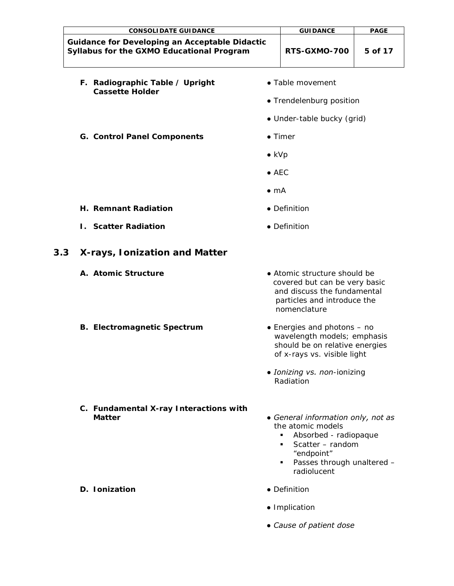<span id="page-4-0"></span>

| <b>CONSOLIDATE GUIDANCE</b>                                                                        |                                                | <b>GUIDANCE</b>                                                                                                                                            | <b>PAGE</b> |
|----------------------------------------------------------------------------------------------------|------------------------------------------------|------------------------------------------------------------------------------------------------------------------------------------------------------------|-------------|
| <b>Guidance for Developing an Acceptable Didactic</b><br>Syllabus for the GXMO Educational Program |                                                | RTS-GXMO-700                                                                                                                                               | 5 of 17     |
| F. Radiographic Table / Upright<br><b>Cassette Holder</b>                                          |                                                | • Table movement<br>• Trendelenburg position<br>· Under-table bucky (grid)                                                                                 |             |
| <b>G. Control Panel Components</b>                                                                 | $\bullet$ kVp<br>$\bullet$ AEC<br>$\bullet$ mA | $\bullet$ Timer                                                                                                                                            |             |
| H. Remnant Radiation                                                                               |                                                | • Definition                                                                                                                                               |             |
| <b>I.</b> Scatter Radiation                                                                        |                                                | • Definition                                                                                                                                               |             |
| 3.3<br>X-rays, Ionization and Matter                                                               |                                                |                                                                                                                                                            |             |
| A. Atomic Structure                                                                                |                                                | • Atomic structure should be<br>covered but can be very basic<br>and discuss the fundamental<br>particles and introduce the<br>nomenclature                |             |
| <b>B. Electromagnetic Spectrum</b>                                                                 |                                                | • Energies and photons – no<br>wavelength models; emphasis<br>should be on relative energies<br>of x-rays vs. visible light<br>• Ionizing vs. non-ionizing |             |
| C. Fundamental X-ray Interactions with<br><b>Matter</b>                                            |                                                | Radiation<br>• General information only, not as<br>the atomic models<br>Absorbed - radiopaque<br>Scatter - random<br>٠                                     |             |
| D. Ionization                                                                                      |                                                | "endpoint"<br>Passes through unaltered -<br>٠<br>radiolucent<br>• Definition                                                                               |             |
|                                                                                                    |                                                |                                                                                                                                                            |             |

- *Implication*
- *Cause of patient dose*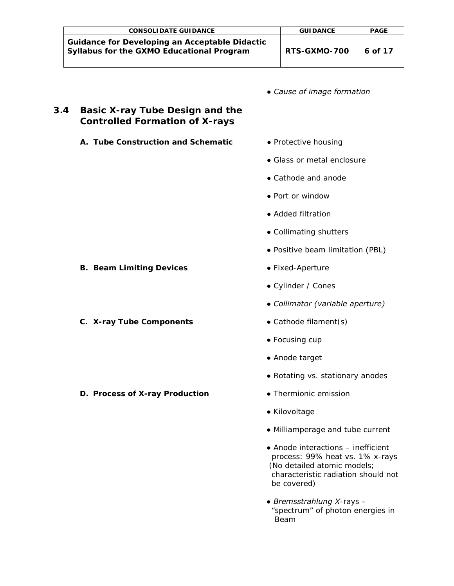| <b>CONSOLIDATE GUIDANCE</b>                                                                        | <b>GUIDANCE</b> | <b>PAGE</b> |
|----------------------------------------------------------------------------------------------------|-----------------|-------------|
| <b>Guidance for Developing an Acceptable Didactic</b><br>Syllabus for the GXMO Educational Program | RTS-GXMO-700    | 6 of 17     |

*● Cause of image formation*

# <span id="page-5-0"></span>**3.4 Basic X-ray Tube Design and the Controlled Formation of X-rays**

- **A. Tube Construction and Schematic** *Protective housing*
	-
	- *Glass or metal enclosure*
	- *Cathode and anode*
	- *Port or window*
	- *Added filtration*
	- *Collimating shutters*
	- Positive beam limitation (PBL)
	- - *Cylinder / Cones*
		- *Collimator (variable aperture)*
		-
		- *Focusing cup*
		- *Anode target*
		- *Rotating vs. stationary anodes*
		-
		- *Kilovoltage*
		- *Milliamperage and tube current*
		- *Anode interactions – inefficient process: 99% heat vs. 1% x-rays (No detailed atomic models; characteristic radiation should not be covered)*
	- *Bremsstrahlung X-rays – "spectrum" of photon energies in Beam*

#### **B. Beam Limiting Devices • •** Fixed-Aperture

**C. X-ray Tube Components ●** *Cathode filament(s)*

**D.** Process of X-ray Production • *Thermionic emission*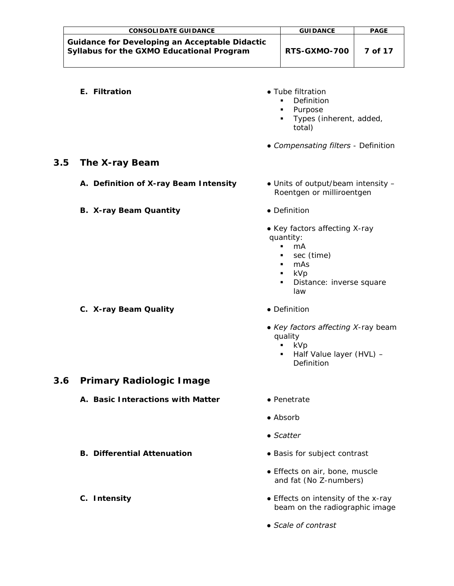| <b>CONSOLIDATE GUIDANCE</b>                                                                        | <b>GUIDANCE</b>     | <b>PAGE</b> |
|----------------------------------------------------------------------------------------------------|---------------------|-------------|
| <b>Guidance for Developing an Acceptable Didactic</b><br>Syllabus for the GXMO Educational Program | <b>RTS-GXMO-700</b> | 7 of 17     |

- 
- **E. Filtration**  *Tube filtration* 
	- *Definition*
	- *Purpose*
	- *Types (inherent, added, total)*
	- *Compensating filters - Definition*

### <span id="page-6-0"></span>**3.5 The X-ray Beam**

- **A. Definition of X-ray Beam Intensity** *Units of output/beam intensity –*
- **B. X-ray Beam Quantity** *Definition*
- *Roentgen or milliroentgen*
	-
	- *Key factors affecting X-ray quantity:*
		- *mA*
		- *sec (time)*
		- *mAs*
		- *kVp*
		- *Distance: inverse square law*
- **C. X-ray Beam Quality** *Definition*
- - *Key factors affecting X-ray beam quality*
		- *kVp*
		- *Half Value layer (HVL) – Definition*

# <span id="page-6-1"></span>**3.6 Primary Radiologic Image**

- **A. Basic Interactions with Matter** *Penetrate*
	-
	- *Absorb*
	- *Scatter*
- **B. Differential Attenuation** *Basis for subject contrast*
	- *Effects on air, bone, muscle and fat (No Z-numbers)*
- **C. Intensity** *Effects on intensity of the x-ray*  *beam on the radiographic image*
	- *Scale of contrast*
- 
-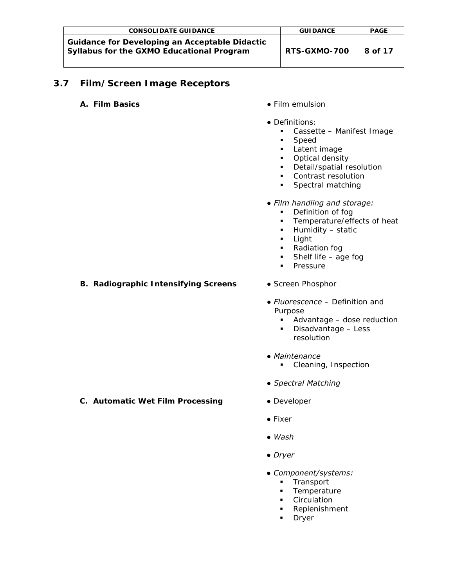| <b>CONSOLIDATE GUIDANCE</b>                                                                               | <b>GUIDANCE</b> | <b>PAGE</b> |
|-----------------------------------------------------------------------------------------------------------|-----------------|-------------|
| <b>Guidance for Developing an Acceptable Didactic</b><br><b>Syllabus for the GXMO Educational Program</b> | RTS-GXMO-700    | 8 of 17     |

# <span id="page-7-0"></span>**3.7 Film/Screen Image Receptors**

- **A. Film Basics ●** *Film emulsion* 
	-
	- *Definitions:*
		- *Cassette – Manifest Image*
		- *Speed*
		- *Latent image*
		- *Optical density*
		- *Detail/spatial resolution*
		- *Contrast resolution*
		- *Spectral matching*
		- *Film handling and storage:*
			- *Definition of fog*
			- *Temperature/effects of heat*
			- *Humidity – static*
			- *Light*
			- *Radiation fog*
			- *Shelf life – age fog*
			- *Pressure*
- **B. Radiographic Intensifying Screens** *Screen Phosphor*
	-
	- *Fluorescence – Definition and Purpose*
		- *Advantage – dose reduction*
		- *Disadvantage – Less resolution*
	- *Maintenance* 
		- *Cleaning, Inspection*
	- *Spectral Matching*
- **C. Automatic Wet Film Processing ●** *Developer*
	-
	- **●** *Fixer*
	- *Wash*
	- *Dryer*
	- *Component/systems:*
		- *Transport*
		- *Temperature*
		- *Circulation*
		- *Replenishment*
		- *Dryer*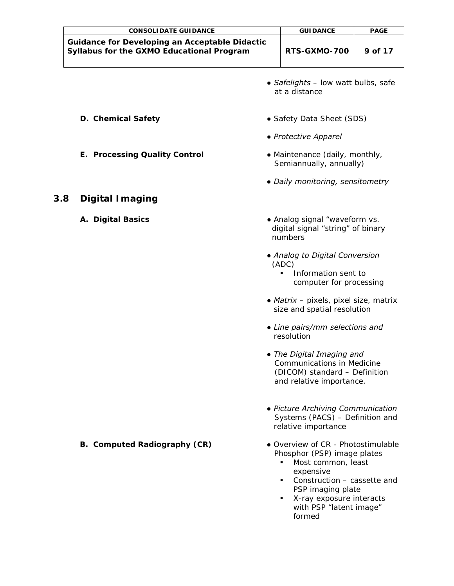<span id="page-8-0"></span>

|     | <b>CONSOLIDATE GUIDANCE</b>                                                                        | <b>GUIDANCE</b>                                                                                                                                                                                                                     | <b>PAGE</b> |
|-----|----------------------------------------------------------------------------------------------------|-------------------------------------------------------------------------------------------------------------------------------------------------------------------------------------------------------------------------------------|-------------|
|     | <b>Guidance for Developing an Acceptable Didactic</b><br>Syllabus for the GXMO Educational Program | RTS-GXMO-700                                                                                                                                                                                                                        | 9 of 17     |
|     |                                                                                                    | • Safelights - low watt bulbs, safe<br>at a distance                                                                                                                                                                                |             |
|     | D. Chemical Safety                                                                                 | • Safety Data Sheet (SDS)                                                                                                                                                                                                           |             |
|     |                                                                                                    | • Protective Apparel                                                                                                                                                                                                                |             |
|     | <b>E. Processing Quality Control</b>                                                               | • Maintenance (daily, monthly,<br>Semiannually, annually)                                                                                                                                                                           |             |
|     |                                                                                                    | • Daily monitoring, sensitometry                                                                                                                                                                                                    |             |
| 3.8 | <b>Digital Imaging</b>                                                                             |                                                                                                                                                                                                                                     |             |
|     | A. Digital Basics                                                                                  | • Analog signal "waveform vs.<br>digital signal "string" of binary<br>numbers                                                                                                                                                       |             |
|     |                                                                                                    | • Analog to Digital Conversion<br>(ADC)<br>Information sent to<br>computer for processing                                                                                                                                           |             |
|     |                                                                                                    | • Matrix – pixels, pixel size, matrix<br>size and spatial resolution                                                                                                                                                                |             |
|     |                                                                                                    | • Line pairs/mm selections and<br>resolution                                                                                                                                                                                        |             |
|     |                                                                                                    | The Digital Imaging and<br>Communications in Medicine<br>(DICOM) standard - Definition<br>and relative importance.                                                                                                                  |             |
|     |                                                                                                    | • Picture Archiving Communication<br>Systems (PACS) - Definition and<br>relative importance                                                                                                                                         |             |
|     | <b>B. Computed Radiography (CR)</b>                                                                | · Overview of CR - Photostimulable<br>Phosphor (PSP) image plates<br>Most common, least<br>٠<br>expensive<br>Construction - cassette and<br>٠<br>PSP imaging plate<br>X-ray exposure interacts<br>with PSP "latent image"<br>formed |             |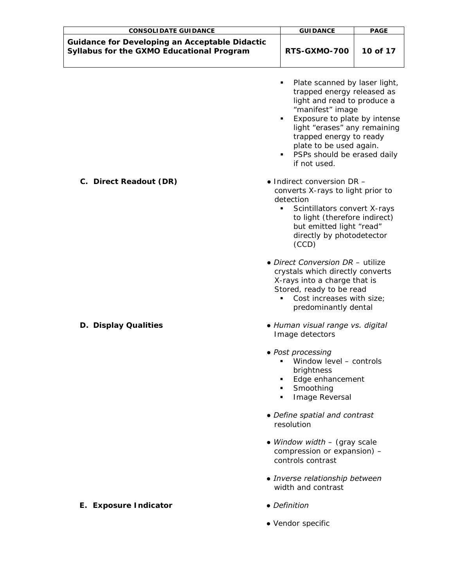| <b>CONSOLIDATE GUIDANCE</b>                                                                        | <b>GUIDANCE</b>                                                                                                                                                                                                                                                                          | <b>PAGE</b> |
|----------------------------------------------------------------------------------------------------|------------------------------------------------------------------------------------------------------------------------------------------------------------------------------------------------------------------------------------------------------------------------------------------|-------------|
| <b>Guidance for Developing an Acceptable Didactic</b><br>Syllabus for the GXMO Educational Program | RTS-GXMO-700                                                                                                                                                                                                                                                                             | 10 of 17    |
|                                                                                                    | Plate scanned by laser light,<br>٠<br>trapped energy released as<br>light and read to produce a<br>"manifest" image<br>Exposure to plate by intense<br>light "erases" any remaining<br>trapped energy to ready<br>plate to be used again.<br>PSPs should be erased daily<br>if not used. |             |
| C. Direct Readout (DR)                                                                             | $\bullet$ Indirect conversion DR -<br>converts X-rays to light prior to<br>detection<br>Scintillators convert X-rays<br>٠<br>to light (therefore indirect)<br>but emitted light "read"<br>directly by photodetector<br>(CCD)                                                             |             |
|                                                                                                    | • Direct Conversion DR - utilize<br>crystals which directly converts<br>X-rays into a charge that is<br>Stored, ready to be read<br>Cost increases with size;<br>predominantly dental                                                                                                    |             |
| D. Display Qualities                                                                               | · Human visual range vs. digital<br>Image detectors                                                                                                                                                                                                                                      |             |
|                                                                                                    | • Post processing<br>Window level - controls<br>٠<br>brightness<br>Edge enhancement<br>Smoothing<br>Image Reversal<br>٠                                                                                                                                                                  |             |
|                                                                                                    | • Define spatial and contrast<br>resolution                                                                                                                                                                                                                                              |             |
|                                                                                                    | • Window width $-$ (gray scale<br>compression or expansion) -<br>controls contrast                                                                                                                                                                                                       |             |
|                                                                                                    | • Inverse relationship between<br>width and contrast                                                                                                                                                                                                                                     |             |
| E. Exposure Indicator                                                                              | • Definition                                                                                                                                                                                                                                                                             |             |
|                                                                                                    | • Vendor specific                                                                                                                                                                                                                                                                        |             |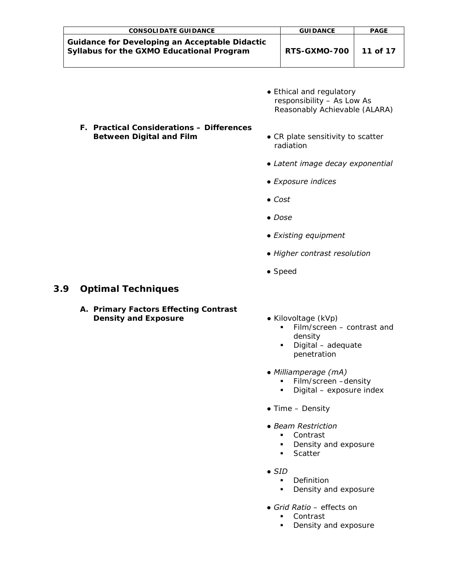| <b>CONSOLIDATE GUIDANCE</b>                                                                        | <b>GUIDANCE</b> | <b>PAGE</b> |
|----------------------------------------------------------------------------------------------------|-----------------|-------------|
| <b>Guidance for Developing an Acceptable Didactic</b><br>Syllabus for the GXMO Educational Program | RTS-GXMO-700    | 11 of 17    |

● *Ethical and regulatory responsibility – As Low As Reasonably Achievable (ALARA)*

#### **F. Practical Considerations – Differences Between Digital and Film •** *CR plate sensitivity to scatter*

- *radiation*
- *Latent image decay exponential*
- *Exposure indices*
- *Cost*
- *Dose*
- *Existing equipment*
- *Higher contrast resolution*
- *Speed*

### <span id="page-10-0"></span>**3.9 Optimal Techniques**

- **A. Primary Factors Effecting Contrast Density** and Exposure **by Constanting Exposure •** *Kilovoltage (kVp)* 
	- - *Film/screen – contrast and density*
		- *Digital – adequate penetration*
	- *Milliamperage (mA)* 
		- *Film/screen –density*
		- *Digital – exposure index*
	- *Time – Density*
	- *Beam Restriction* 
		- *Contrast*
		- *Density and exposure*
		- *Scatter*
	- *SID* 
		- *Definition*
		- *Density and exposure*
	- *Grid Ratio – effects on* 
		- *Contrast*
		- *Density and exposure*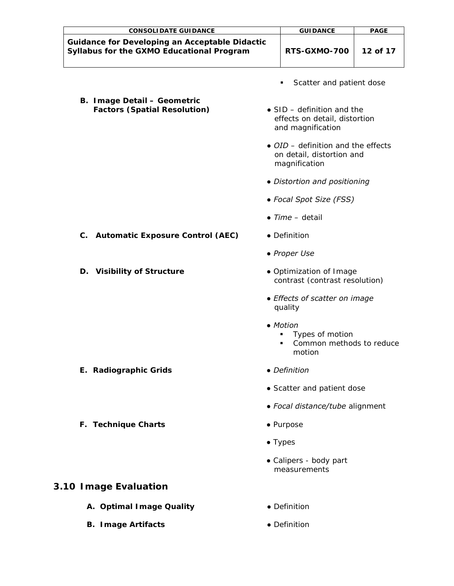| <b>CONSOLIDATE GUIDANCE</b>                                                                        | <b>GUIDANCE</b>                                                                          | <b>PAGE</b> |
|----------------------------------------------------------------------------------------------------|------------------------------------------------------------------------------------------|-------------|
| <b>Guidance for Developing an Acceptable Didactic</b><br>Syllabus for the GXMO Educational Program | RTS-GXMO-700                                                                             | 12 of 17    |
|                                                                                                    | Scatter and patient dose<br>٠                                                            |             |
| <b>B. Image Detail - Geometric</b><br><b>Factors (Spatial Resolution)</b>                          | • $SID - definition$ and the<br>effects on detail, distortion<br>and magnification       |             |
|                                                                                                    | $\bullet$ OID – definition and the effects<br>on detail, distortion and<br>magnification |             |
|                                                                                                    | • Distortion and positioning                                                             |             |
|                                                                                                    | • Focal Spot Size (FSS)                                                                  |             |
|                                                                                                    | $\bullet$ Time - detail                                                                  |             |
| <b>Automatic Exposure Control (AEC)</b><br>C.                                                      | • Definition                                                                             |             |
|                                                                                                    | • Proper Use                                                                             |             |
| D. Visibility of Structure                                                                         | · Optimization of Image<br>contrast (contrast resolution)                                |             |
|                                                                                                    | • Effects of scatter on image<br>quality                                                 |             |
|                                                                                                    | • Motion<br>Types of motion<br>٠<br>Common methods to reduce<br>motion                   |             |
| E. Radiographic Grids                                                                              | • Definition                                                                             |             |
|                                                                                                    | • Scatter and patient dose                                                               |             |
|                                                                                                    | • Focal distance/tube alignment                                                          |             |
| F. Technique Charts                                                                                | • Purpose                                                                                |             |
|                                                                                                    | $\bullet$ Types                                                                          |             |
|                                                                                                    | • Calipers - body part<br>measurements                                                   |             |
| 3.10 Image Evaluation                                                                              |                                                                                          |             |
| A. Optimal Image Quality                                                                           | • Definition                                                                             |             |

- <span id="page-11-0"></span>**B. Image Artifacts ●** *Definition*
- -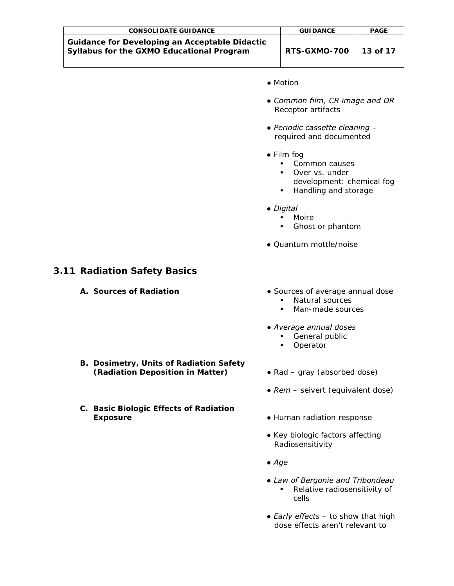| <b>CONSOLIDATE GUIDANCE</b>                                                                        | <b>GUIDANCE</b> | <b>PAGE</b> |
|----------------------------------------------------------------------------------------------------|-----------------|-------------|
| <b>Guidance for Developing an Acceptable Didactic</b><br>Syllabus for the GXMO Educational Program | RTS-GXMO-700    | 13 of 17    |

- *Motion*
- *Common film, CR image and DR Receptor artifacts*
- *Periodic cassette cleaning – required and documented*
- *Film fog*
	- *Common causes*
	- *Over vs. under*
	- *development: chemical fog*
	- *Handling and storage*
- *Digital* 
	- *Moire*
	- *Ghost or phantom*
- *Quantum mottle/noise*

#### <span id="page-12-0"></span>**3.11 Radiation Safety Basics**

- 
- **A.** Sources of Radiation **A. •** Sources of average annual dose
	- *Natural sources*
	- *Man-made sources*
	- *Average annual doses*
		- *General public*
		- *Operator*
- **B. Dosimetry, Units of Radiation Safety (Radiation Deposition in Matter)** *● Rad – gray (absorbed dose)*
- **C. Basic Biologic Effects of Radiation Exposure ●** *Human radiation response*
- 
- *Rem – seivert (equivalent dose)*
	-
	- *Key biologic factors affecting*  *Radiosensitivity*
	- *Age*
	- *Law of Bergonie and Tribondeau Relative radiosensitivity of cells*
	- *Early effects – to show that high dose effects aren't relevant to*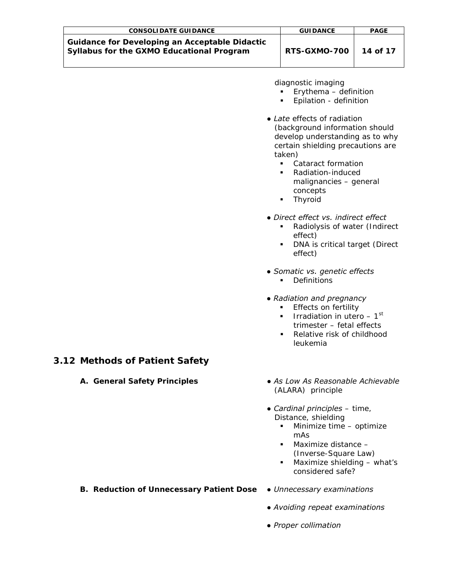| <b>CONSOLIDATE GUIDANCE</b>                                                                        | <b>GUIDANCE</b> | <b>PAGE</b> |
|----------------------------------------------------------------------------------------------------|-----------------|-------------|
| <b>Guidance for Developing an Acceptable Didactic</b><br>Syllabus for the GXMO Educational Program | RTS-GXMO-700    | 14 of 17    |

 *diagnostic imaging*

- *Erythema – definition*
- *Epilation - definition*
- *Late effects of radiation (background information should develop understanding as to why certain shielding precautions are taken)*
	- *Cataract formation*
	- *Radiation-induced malignancies – general concepts*
	- *Thyroid*
- *Direct effect vs. indirect effect*
	- *Radiolysis of water (Indirect effect)*
	- *DNA is critical target (Direct effect)*
- *Somatic vs. genetic effects*
	- *Definitions*
- *Radiation and pregnancy* 
	- *Effects on fertility*
	- *Irradiation in utero – 1st trimester – fetal effects*
	- *Relative risk of childhood leukemia*

# <span id="page-13-0"></span>**3.12 Methods of Patient Safety**

- 
- **A. General Safety Principles**  *As Low As Reasonable Achievable*  *(ALARA)* principle
	- *Cardinal principles – time, Distance, shielding*
		- *Minimize time – optimize mAs*
		- *Maximize distance – (Inverse-Square Law)*
		- *Maximize shielding – what's considered safe?*

#### **B. Reduction of Unnecessary Patient Dose** *● Unnecessary examinations*

- 
- *Avoiding repeat examinations*
- *Proper collimation*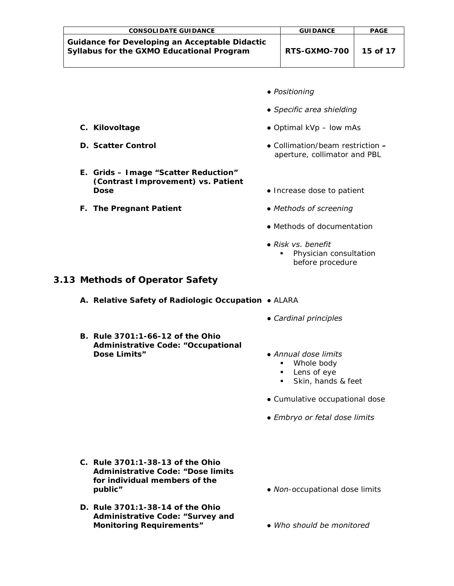| <b>CONSOLIDATE GUIDANCE</b>                                                                        | <b>GUIDANCE</b> | <b>PAGE</b> |
|----------------------------------------------------------------------------------------------------|-----------------|-------------|
| <b>Guidance for Developing an Acceptable Didactic</b><br>Syllabus for the GXMO Educational Program | RTS-GXMO-700    | 15 of 17    |

- *Positioning*
- *Specific area shielding*
- **C. Kilovoltage ●** *Optimal kVp – low mAs*
- **D. Scatter Control**  *Collimation/beam restriction – aperture, collimator and PBL*
	- **Dose •** *Increase dose to patient*
- **F. The Pregnant Patient**  *Methods of screening*
	- *Methods of documentation*
	- *Risk vs. benefit* 
		- *Physician consultation before procedure*

#### <span id="page-14-0"></span>**3.13 Methods of Operator Safety**

- **A. Relative Safety of Radiologic Occupation** *ALARA*
	- *Cardinal principles*
- **B. Rule 3701:1-66-12 of the Ohio Administrative Code: "Occupational**

**E. Grids – Image "Scatter Reduction" (Contrast Improvement) vs. Patient** 

- **Dose Limits"**  *Annual dose limits*
	- *Whole body*
	- *Lens of eye*
	- *Skin, hands & feet*
- *Cumulative occupational dose*
- *Embryo or fetal dose limits*
- **C. Rule 3701:1-38-13 of the Ohio Administrative Code: "Dose limits for individual members of the public"** *● Non-occupational dose limits*
- **D. Rule 3701:1-38-14 of the Ohio Administrative Code: "Survey and Monitoring Requirements"** *● Who should be monitored*
- -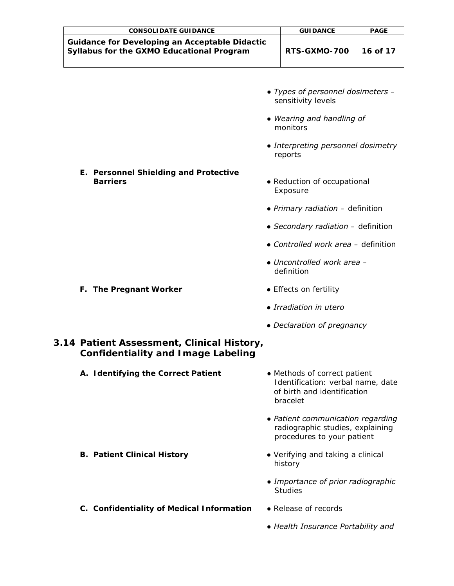| <b>CONSOLIDATE GUIDANCE</b>                                                                        | <b>GUIDANCE</b> | <b>PAGE</b> |
|----------------------------------------------------------------------------------------------------|-----------------|-------------|
| <b>Guidance for Developing an Acceptable Didactic</b><br>Syllabus for the GXMO Educational Program | RTS-GXMO-700    | 16 of 17    |

- *Types of personnel dosimeters – sensitivity levels*
- *Wearing and handling of monitors*
- *Interpreting personnel dosimetry reports*
- **E. Personnel Shielding and Protective Barriers •**  *Reduction of occupational* 
	- *Exposure*
	- *Primary radiation – definition*
	- *Secondary radiation – definition*
	- *Controlled work area – definition*
	- *Uncontrolled work area – definition*
- **F. The Pregnant Worker** *Effects on fertility* 
	- *Irradiation in utero*
	- *Declaration of pregnancy*

# <span id="page-15-0"></span>**3.14 Patient Assessment, Clinical History, Confidentiality and Image Labeling**

- **A. Identifying the Correct Patient** *Methods of correct patient Identification: verbal name, date of birth and identification* 
	- *bracelet ● Patient communication regarding*
	- *radiographic studies, explaining procedures to your patient*
- **B. Patient Clinical History** *Verifying and taking a clinical*  *history*
	- *Importance of prior radiographic Studies*
- **C. Confidentiality of Medical Information** *Release of records*
	- *Health Insurance Portability and*